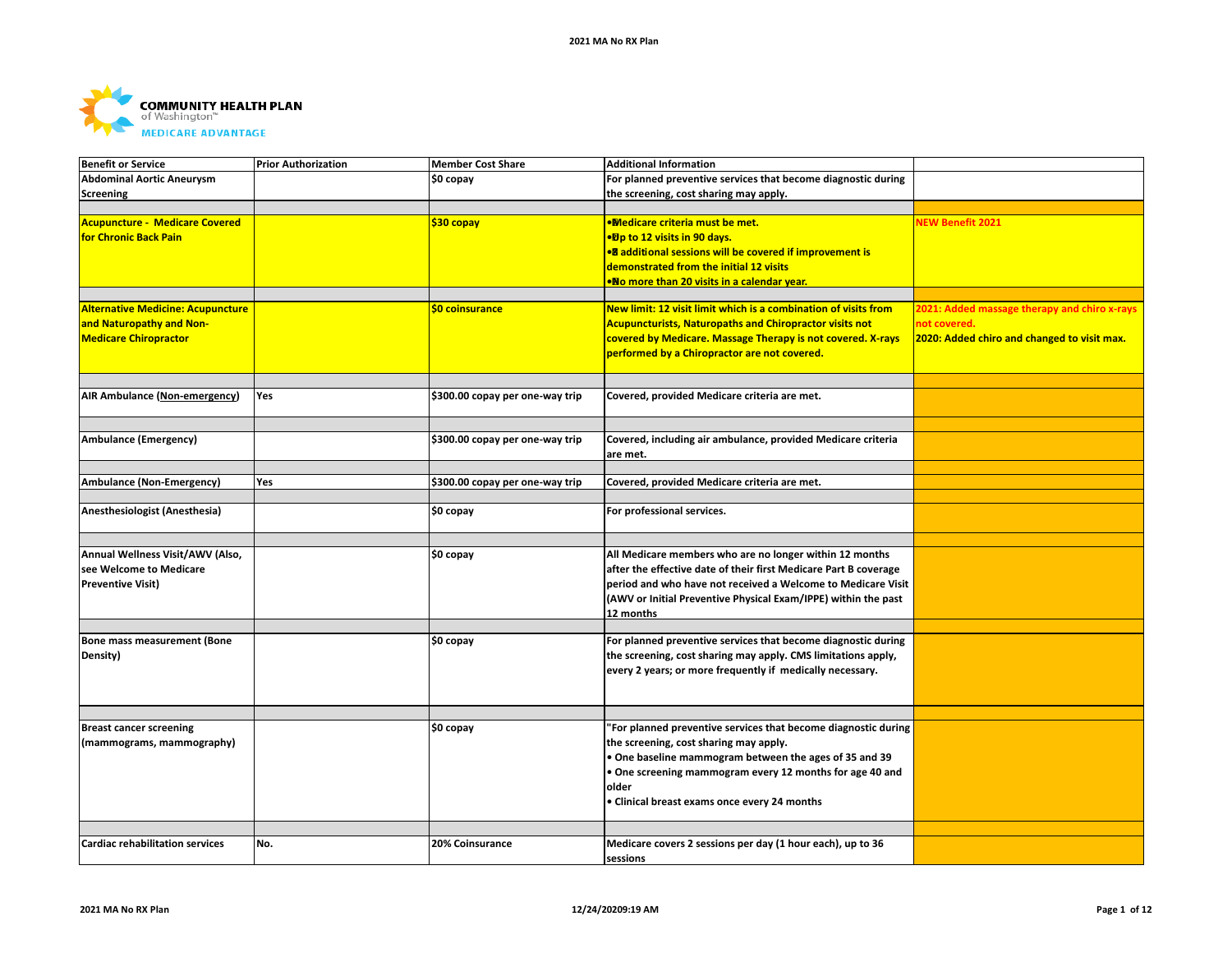

| <b>Benefit or Service</b>                                                                            | <b>Prior Authorization</b> | <b>Member Cost Share</b>        | <b>Additional Information</b>                                                                                                                                                                    |                                                                                                             |
|------------------------------------------------------------------------------------------------------|----------------------------|---------------------------------|--------------------------------------------------------------------------------------------------------------------------------------------------------------------------------------------------|-------------------------------------------------------------------------------------------------------------|
| <b>Abdominal Aortic Aneurysm</b>                                                                     |                            | \$0 copay                       | For planned preventive services that become diagnostic during                                                                                                                                    |                                                                                                             |
| Screening                                                                                            |                            |                                 | the screening, cost sharing may apply.                                                                                                                                                           |                                                                                                             |
|                                                                                                      |                            |                                 |                                                                                                                                                                                                  |                                                                                                             |
| <b>Acupuncture - Medicare Covered</b><br>for Chronic Back Pain                                       |                            | \$30 copay                      | <b>.Medicare criteria must be met.</b><br>•Dp to 12 visits in 90 days.<br><b>•B</b> additional sessions will be covered if improvement is                                                        | <b>NEW Benefit 2021</b>                                                                                     |
|                                                                                                      |                            |                                 | demonstrated from the initial 12 visits                                                                                                                                                          |                                                                                                             |
|                                                                                                      |                            |                                 | •No more than 20 visits in a calendar year.                                                                                                                                                      |                                                                                                             |
|                                                                                                      |                            |                                 |                                                                                                                                                                                                  |                                                                                                             |
| <b>Alternative Medicine: Acupuncture</b><br>and Naturopathy and Non-<br><b>Medicare Chiropractor</b> |                            | \$0 coinsurance                 | New limit: 12 visit limit which is a combination of visits from<br><b>Acupuncturists, Naturopaths and Chiropractor visits not</b><br>covered by Medicare. Massage Therapy is not covered. X-rays | 2021: Added massage therapy and chiro x-rays<br>not covered.<br>2020: Added chiro and changed to visit max. |
|                                                                                                      |                            |                                 | performed by a Chiropractor are not covered.                                                                                                                                                     |                                                                                                             |
|                                                                                                      |                            |                                 |                                                                                                                                                                                                  |                                                                                                             |
| <b>AIR Ambulance (Non-emergency)</b>                                                                 | Yes                        | \$300.00 copay per one-way trip | Covered, provided Medicare criteria are met.                                                                                                                                                     |                                                                                                             |
|                                                                                                      |                            |                                 |                                                                                                                                                                                                  |                                                                                                             |
| Ambulance (Emergency)                                                                                |                            | \$300.00 copay per one-way trip | Covered, including air ambulance, provided Medicare criteria<br>are met.                                                                                                                         |                                                                                                             |
|                                                                                                      |                            |                                 |                                                                                                                                                                                                  |                                                                                                             |
| <b>Ambulance (Non-Emergency)</b>                                                                     | Yes                        | \$300.00 copay per one-way trip | Covered, provided Medicare criteria are met.                                                                                                                                                     |                                                                                                             |
|                                                                                                      |                            |                                 |                                                                                                                                                                                                  |                                                                                                             |
| Anesthesiologist (Anesthesia)                                                                        |                            | \$0 copay                       | For professional services.                                                                                                                                                                       |                                                                                                             |
|                                                                                                      |                            |                                 |                                                                                                                                                                                                  |                                                                                                             |
| Annual Wellness Visit/AWV (Also,                                                                     |                            | \$0 copay                       | All Medicare members who are no longer within 12 months                                                                                                                                          |                                                                                                             |
| see Welcome to Medicare                                                                              |                            |                                 | after the effective date of their first Medicare Part B coverage                                                                                                                                 |                                                                                                             |
| <b>Preventive Visit)</b>                                                                             |                            |                                 | period and who have not received a Welcome to Medicare Visit                                                                                                                                     |                                                                                                             |
|                                                                                                      |                            |                                 | (AWV or Initial Preventive Physical Exam/IPPE) within the past                                                                                                                                   |                                                                                                             |
|                                                                                                      |                            |                                 | 12 months                                                                                                                                                                                        |                                                                                                             |
|                                                                                                      |                            |                                 |                                                                                                                                                                                                  |                                                                                                             |
| Bone mass measurement (Bone                                                                          |                            | \$0 copay                       | For planned preventive services that become diagnostic during                                                                                                                                    |                                                                                                             |
| Density)                                                                                             |                            |                                 | the screening, cost sharing may apply. CMS limitations apply,                                                                                                                                    |                                                                                                             |
|                                                                                                      |                            |                                 | every 2 years; or more frequently if medically necessary.                                                                                                                                        |                                                                                                             |
|                                                                                                      |                            |                                 |                                                                                                                                                                                                  |                                                                                                             |
|                                                                                                      |                            |                                 |                                                                                                                                                                                                  |                                                                                                             |
|                                                                                                      |                            |                                 |                                                                                                                                                                                                  |                                                                                                             |
| <b>Breast cancer screening</b>                                                                       |                            | \$0 copay                       | 'For planned preventive services that become diagnostic during                                                                                                                                   |                                                                                                             |
| (mammograms, mammography)                                                                            |                            |                                 | the screening, cost sharing may apply.                                                                                                                                                           |                                                                                                             |
|                                                                                                      |                            |                                 | . One baseline mammogram between the ages of 35 and 39                                                                                                                                           |                                                                                                             |
|                                                                                                      |                            |                                 | . One screening mammogram every 12 months for age 40 and                                                                                                                                         |                                                                                                             |
|                                                                                                      |                            |                                 | older                                                                                                                                                                                            |                                                                                                             |
|                                                                                                      |                            |                                 | • Clinical breast exams once every 24 months                                                                                                                                                     |                                                                                                             |
|                                                                                                      |                            |                                 |                                                                                                                                                                                                  |                                                                                                             |
|                                                                                                      |                            |                                 |                                                                                                                                                                                                  |                                                                                                             |
| <b>Cardiac rehabilitation services</b>                                                               | No.                        | 20% Coinsurance                 | Medicare covers 2 sessions per day (1 hour each), up to 36<br>sessions                                                                                                                           |                                                                                                             |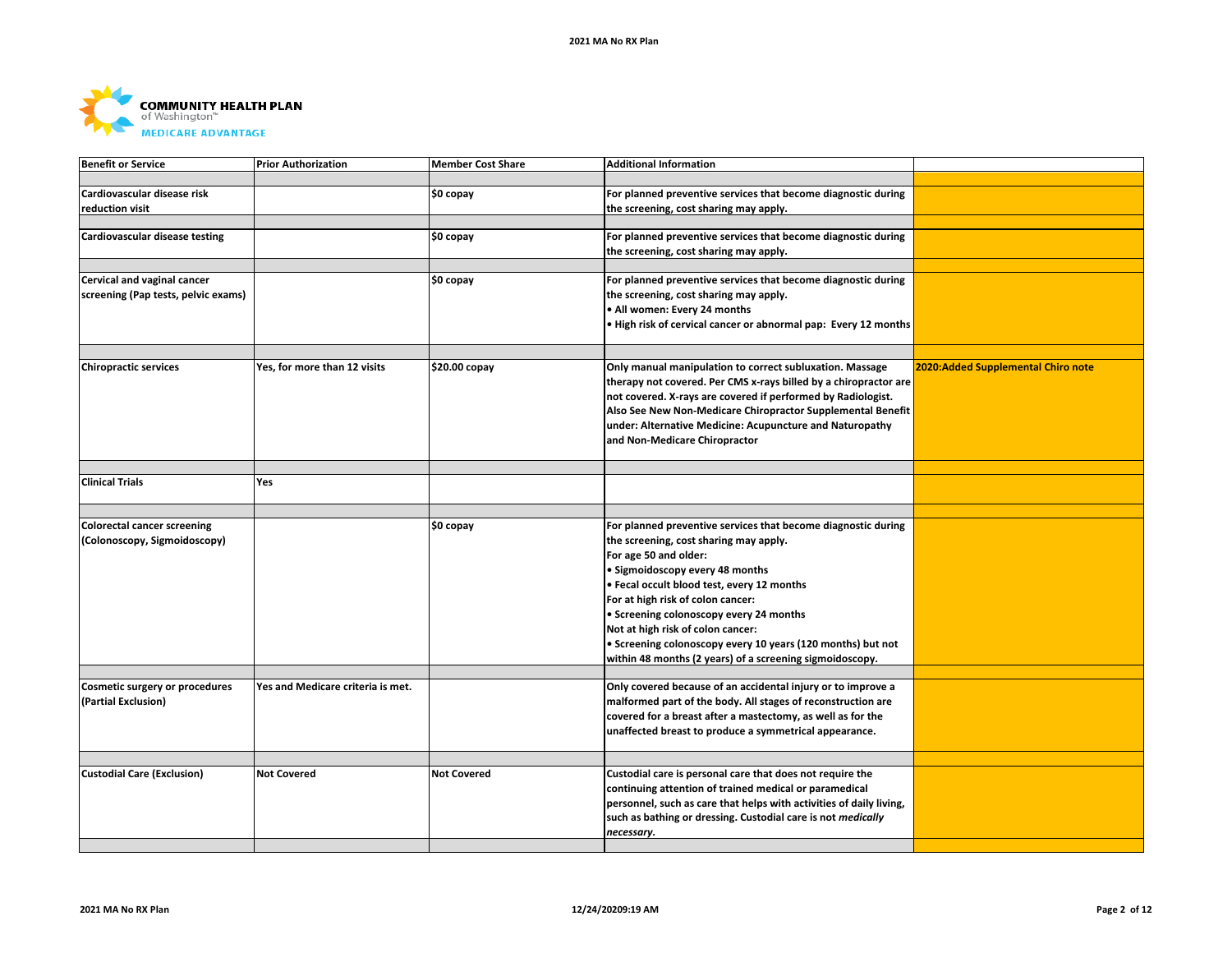

| <b>Benefit or Service</b>           | <b>Prior Authorization</b>        | <b>Member Cost Share</b> | <b>Additional Information</b>                                       |                                     |
|-------------------------------------|-----------------------------------|--------------------------|---------------------------------------------------------------------|-------------------------------------|
|                                     |                                   |                          |                                                                     |                                     |
| Cardiovascular disease risk         |                                   | \$0 copay                | For planned preventive services that become diagnostic during       |                                     |
| reduction visit                     |                                   |                          | the screening, cost sharing may apply.                              |                                     |
|                                     |                                   |                          |                                                                     |                                     |
| Cardiovascular disease testing      |                                   | \$0 copay                | For planned preventive services that become diagnostic during       |                                     |
|                                     |                                   |                          |                                                                     |                                     |
|                                     |                                   |                          | the screening, cost sharing may apply.                              |                                     |
|                                     |                                   |                          |                                                                     |                                     |
| Cervical and vaginal cancer         |                                   | \$0 copay                | For planned preventive services that become diagnostic during       |                                     |
| screening (Pap tests, pelvic exams) |                                   |                          | the screening, cost sharing may apply.                              |                                     |
|                                     |                                   |                          | • All women: Every 24 months                                        |                                     |
|                                     |                                   |                          | . High risk of cervical cancer or abnormal pap: Every 12 months     |                                     |
|                                     |                                   |                          |                                                                     |                                     |
|                                     |                                   |                          |                                                                     |                                     |
| <b>Chiropractic services</b>        | Yes, for more than 12 visits      | \$20.00 copay            | Only manual manipulation to correct subluxation. Massage            | 2020: Added Supplemental Chiro note |
|                                     |                                   |                          | therapy not covered. Per CMS x-rays billed by a chiropractor are    |                                     |
|                                     |                                   |                          | not covered. X-rays are covered if performed by Radiologist.        |                                     |
|                                     |                                   |                          | Also See New Non-Medicare Chiropractor Supplemental Benefit         |                                     |
|                                     |                                   |                          | under: Alternative Medicine: Acupuncture and Naturopathy            |                                     |
|                                     |                                   |                          |                                                                     |                                     |
|                                     |                                   |                          | and Non-Medicare Chiropractor                                       |                                     |
|                                     |                                   |                          |                                                                     |                                     |
|                                     |                                   |                          |                                                                     |                                     |
| <b>Clinical Trials</b>              | <b>Yes</b>                        |                          |                                                                     |                                     |
|                                     |                                   |                          |                                                                     |                                     |
|                                     |                                   |                          |                                                                     |                                     |
|                                     |                                   |                          |                                                                     |                                     |
| <b>Colorectal cancer screening</b>  |                                   | \$0 copay                | For planned preventive services that become diagnostic during       |                                     |
| (Colonoscopy, Sigmoidoscopy)        |                                   |                          | the screening, cost sharing may apply.                              |                                     |
|                                     |                                   |                          | For age 50 and older:                                               |                                     |
|                                     |                                   |                          | · Sigmoidoscopy every 48 months                                     |                                     |
|                                     |                                   |                          |                                                                     |                                     |
|                                     |                                   |                          | · Fecal occult blood test, every 12 months                          |                                     |
|                                     |                                   |                          | For at high risk of colon cancer:                                   |                                     |
|                                     |                                   |                          | • Screening colonoscopy every 24 months                             |                                     |
|                                     |                                   |                          | Not at high risk of colon cancer:                                   |                                     |
|                                     |                                   |                          | • Screening colonoscopy every 10 years (120 months) but not         |                                     |
|                                     |                                   |                          | within 48 months (2 years) of a screening sigmoidoscopy.            |                                     |
|                                     |                                   |                          |                                                                     |                                     |
| Cosmetic surgery or procedures      | Yes and Medicare criteria is met. |                          | Only covered because of an accidental injury or to improve a        |                                     |
| (Partial Exclusion)                 |                                   |                          | malformed part of the body. All stages of reconstruction are        |                                     |
|                                     |                                   |                          | covered for a breast after a mastectomy, as well as for the         |                                     |
|                                     |                                   |                          |                                                                     |                                     |
|                                     |                                   |                          | unaffected breast to produce a symmetrical appearance.              |                                     |
|                                     |                                   |                          |                                                                     |                                     |
| <b>Custodial Care (Exclusion)</b>   | <b>Not Covered</b>                | <b>Not Covered</b>       | Custodial care is personal care that does not require the           |                                     |
|                                     |                                   |                          |                                                                     |                                     |
|                                     |                                   |                          | continuing attention of trained medical or paramedical              |                                     |
|                                     |                                   |                          | personnel, such as care that helps with activities of daily living, |                                     |
|                                     |                                   |                          | such as bathing or dressing. Custodial care is not medically        |                                     |
|                                     |                                   |                          | necessary.                                                          |                                     |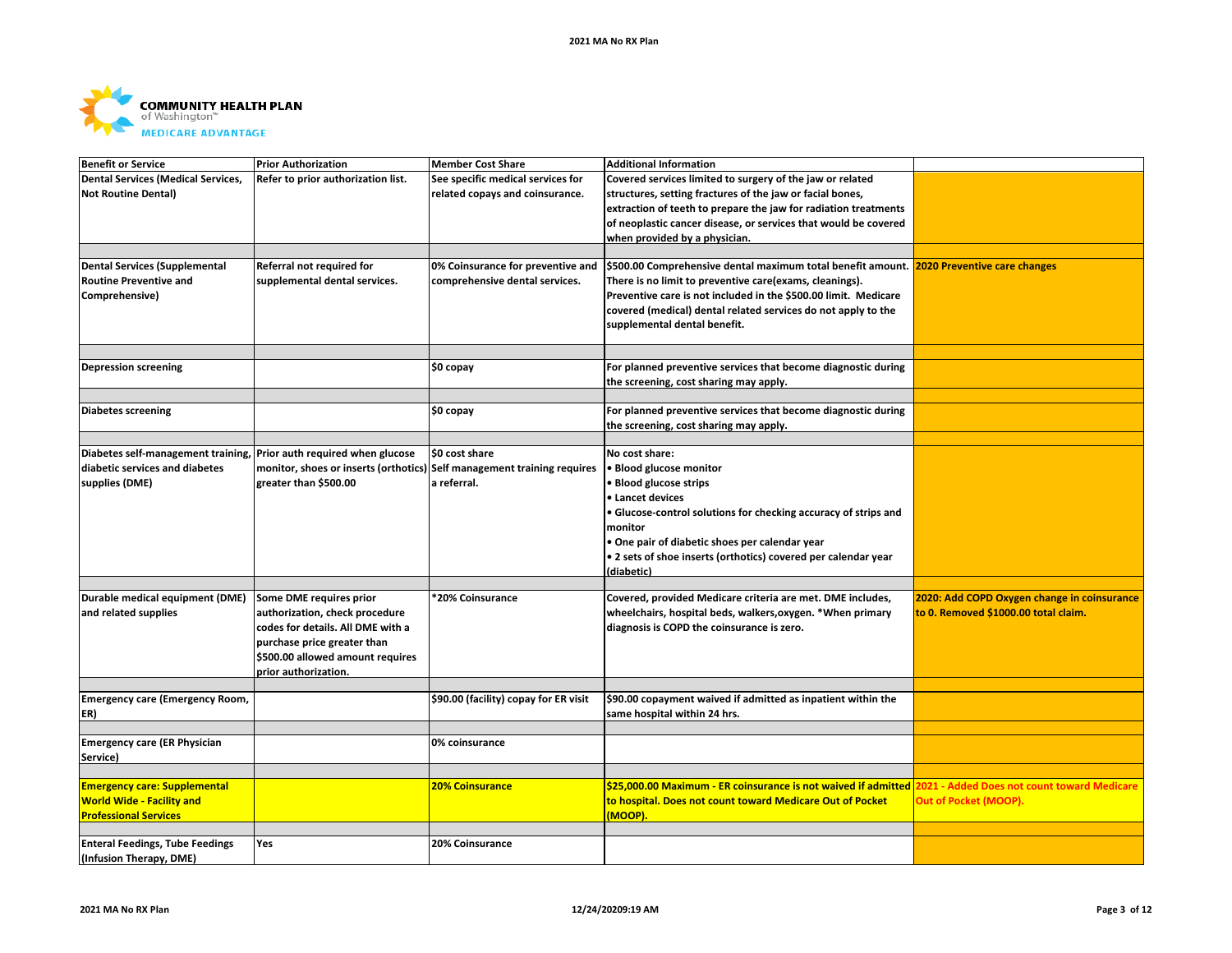

| <b>Benefit or Service</b>              | <b>Prior Authorization</b>                                              | <b>Member Cost Share</b>              | <b>Additional Information</b>                                                                              |                                             |
|----------------------------------------|-------------------------------------------------------------------------|---------------------------------------|------------------------------------------------------------------------------------------------------------|---------------------------------------------|
| Dental Services (Medical Services,     | Refer to prior authorization list.                                      | See specific medical services for     | Covered services limited to surgery of the jaw or related                                                  |                                             |
| <b>Not Routine Dental)</b>             |                                                                         | related copays and coinsurance.       | structures, setting fractures of the jaw or facial bones,                                                  |                                             |
|                                        |                                                                         |                                       | extraction of teeth to prepare the jaw for radiation treatments                                            |                                             |
|                                        |                                                                         |                                       | of neoplastic cancer disease, or services that would be covered                                            |                                             |
|                                        |                                                                         |                                       | when provided by a physician.                                                                              |                                             |
|                                        |                                                                         |                                       |                                                                                                            |                                             |
| Dental Services (Supplemental          | Referral not required for                                               | 0% Coinsurance for preventive and     | \$500.00 Comprehensive dental maximum total benefit amount. 2020 Preventive care changes                   |                                             |
| <b>Routine Preventive and</b>          | supplemental dental services.                                           | comprehensive dental services.        | There is no limit to preventive care(exams, cleanings).                                                    |                                             |
| Comprehensive)                         |                                                                         |                                       | Preventive care is not included in the \$500.00 limit. Medicare                                            |                                             |
|                                        |                                                                         |                                       | covered (medical) dental related services do not apply to the                                              |                                             |
|                                        |                                                                         |                                       | supplemental dental benefit.                                                                               |                                             |
|                                        |                                                                         |                                       |                                                                                                            |                                             |
|                                        |                                                                         |                                       |                                                                                                            |                                             |
| <b>Depression screening</b>            |                                                                         | \$0 copay                             | For planned preventive services that become diagnostic during                                              |                                             |
|                                        |                                                                         |                                       | the screening, cost sharing may apply.                                                                     |                                             |
|                                        |                                                                         |                                       |                                                                                                            |                                             |
| Diabetes screening                     |                                                                         | \$0 copay                             | For planned preventive services that become diagnostic during                                              |                                             |
|                                        |                                                                         |                                       | the screening, cost sharing may apply.                                                                     |                                             |
|                                        |                                                                         |                                       |                                                                                                            |                                             |
| Diabetes self-management training,     | Prior auth required when glucose                                        | \$0 cost share                        | No cost share:                                                                                             |                                             |
| diabetic services and diabetes         | monitor, shoes or inserts (orthotics) Self management training requires |                                       | <b>Blood glucose monitor</b>                                                                               |                                             |
| supplies (DME)                         | greater than \$500.00                                                   | a referral.                           | <b>Blood glucose strips</b>                                                                                |                                             |
|                                        |                                                                         |                                       | • Lancet devices                                                                                           |                                             |
|                                        |                                                                         |                                       |                                                                                                            |                                             |
|                                        |                                                                         |                                       | • Glucose-control solutions for checking accuracy of strips and                                            |                                             |
|                                        |                                                                         |                                       | monitor                                                                                                    |                                             |
|                                        |                                                                         |                                       | One pair of diabetic shoes per calendar year                                                               |                                             |
|                                        |                                                                         |                                       | . 2 sets of shoe inserts (orthotics) covered per calendar year                                             |                                             |
|                                        |                                                                         |                                       | (diabetic)                                                                                                 |                                             |
|                                        |                                                                         |                                       |                                                                                                            |                                             |
| Durable medical equipment (DME)        | Some DME requires prior                                                 | 20% Coinsurance                       | Covered, provided Medicare criteria are met. DME includes,                                                 | 2020: Add COPD Oxygen change in coinsurance |
| and related supplies                   | authorization, check procedure                                          |                                       | wheelchairs, hospital beds, walkers, oxygen. *When primary                                                 | to 0. Removed \$1000.00 total claim.        |
|                                        | codes for details. All DME with a                                       |                                       | diagnosis is COPD the coinsurance is zero.                                                                 |                                             |
|                                        | purchase price greater than                                             |                                       |                                                                                                            |                                             |
|                                        | \$500.00 allowed amount requires                                        |                                       |                                                                                                            |                                             |
|                                        | prior authorization.                                                    |                                       |                                                                                                            |                                             |
|                                        |                                                                         |                                       |                                                                                                            |                                             |
| <b>Emergency care (Emergency Room,</b> |                                                                         | \$90.00 (facility) copay for ER visit | \$90.00 copayment waived if admitted as inpatient within the                                               |                                             |
| ER)                                    |                                                                         |                                       | same hospital within 24 hrs.                                                                               |                                             |
|                                        |                                                                         |                                       |                                                                                                            |                                             |
| <b>Emergency care (ER Physician</b>    |                                                                         | 0% coinsurance                        |                                                                                                            |                                             |
| Service)                               |                                                                         |                                       |                                                                                                            |                                             |
|                                        |                                                                         |                                       |                                                                                                            |                                             |
| <b>Emergency care: Supplemental</b>    |                                                                         | <b>20% Coinsurance</b>                | \$25,000.00 Maximum - ER coinsurance is not waived if admitted 2021 - Added Does not count toward Medicare |                                             |
| <b>World Wide - Facility and</b>       |                                                                         |                                       | to hospital. Does not count toward Medicare Out of Pocket                                                  | Out of Pocket (MOOP).                       |
| <b>Professional Services</b>           |                                                                         |                                       | (MOOP).                                                                                                    |                                             |
|                                        |                                                                         |                                       |                                                                                                            |                                             |
| <b>Enteral Feedings, Tube Feedings</b> | Yes                                                                     | 20% Coinsurance                       |                                                                                                            |                                             |
| (Infusion Therapy, DME)                |                                                                         |                                       |                                                                                                            |                                             |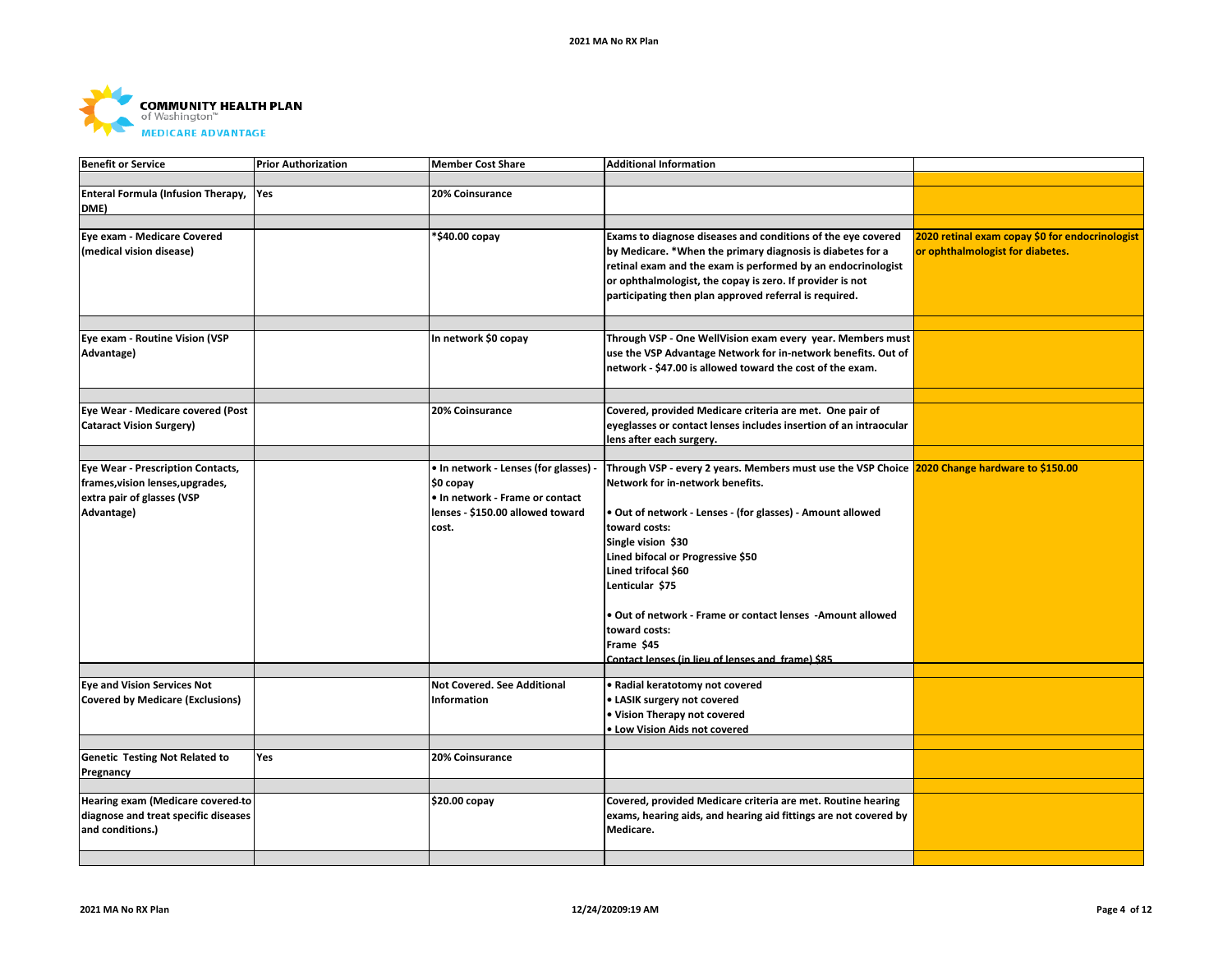

| <b>Benefit or Service</b>               | <b>Prior Authorization</b> | <b>Member Cost Share</b>            | <b>Additional Information</b>                                                                 |                                                 |
|-----------------------------------------|----------------------------|-------------------------------------|-----------------------------------------------------------------------------------------------|-------------------------------------------------|
|                                         |                            |                                     |                                                                                               |                                                 |
| Enteral Formula (Infusion Therapy,      | Yes                        | 20% Coinsurance                     |                                                                                               |                                                 |
| DME)                                    |                            |                                     |                                                                                               |                                                 |
|                                         |                            |                                     |                                                                                               |                                                 |
| Eye exam - Medicare Covered             |                            | *\$40.00 copay                      | Exams to diagnose diseases and conditions of the eye covered                                  | 2020 retinal exam copay \$0 for endocrinologist |
| (medical vision disease)                |                            |                                     | by Medicare. *When the primary diagnosis is diabetes for a                                    | or ophthalmologist for diabetes.                |
|                                         |                            |                                     |                                                                                               |                                                 |
|                                         |                            |                                     | retinal exam and the exam is performed by an endocrinologist                                  |                                                 |
|                                         |                            |                                     | or ophthalmologist, the copay is zero. If provider is not                                     |                                                 |
|                                         |                            |                                     | participating then plan approved referral is required.                                        |                                                 |
|                                         |                            |                                     |                                                                                               |                                                 |
|                                         |                            |                                     |                                                                                               |                                                 |
| Eye exam - Routine Vision (VSP          |                            | In network \$0 copay                | Through VSP - One WellVision exam every year. Members must                                    |                                                 |
| Advantage)                              |                            |                                     | use the VSP Advantage Network for in-network benefits. Out of                                 |                                                 |
|                                         |                            |                                     | network - \$47.00 is allowed toward the cost of the exam.                                     |                                                 |
|                                         |                            |                                     |                                                                                               |                                                 |
|                                         |                            |                                     |                                                                                               |                                                 |
| Eye Wear - Medicare covered (Post       |                            | 20% Coinsurance                     | Covered, provided Medicare criteria are met. One pair of                                      |                                                 |
| <b>Cataract Vision Surgery)</b>         |                            |                                     | eyeglasses or contact lenses includes insertion of an intraocular                             |                                                 |
|                                         |                            |                                     | lens after each surgery.                                                                      |                                                 |
|                                         |                            |                                     |                                                                                               |                                                 |
| Eye Wear - Prescription Contacts,       |                            | • In network - Lenses (for glasses) | Through VSP - every 2 years. Members must use the VSP Choice 2020 Change hardware to \$150.00 |                                                 |
| frames, vision lenses, upgrades,        |                            | \$0 copay                           | Network for in-network benefits.                                                              |                                                 |
| extra pair of glasses (VSP              |                            | . In network - Frame or contact     |                                                                                               |                                                 |
| Advantage)                              |                            | lenses - \$150.00 allowed toward    | . Out of network - Lenses - (for glasses) - Amount allowed                                    |                                                 |
|                                         |                            | cost.                               | toward costs:                                                                                 |                                                 |
|                                         |                            |                                     | Single vision \$30                                                                            |                                                 |
|                                         |                            |                                     | Lined bifocal or Progressive \$50                                                             |                                                 |
|                                         |                            |                                     | Lined trifocal \$60                                                                           |                                                 |
|                                         |                            |                                     |                                                                                               |                                                 |
|                                         |                            |                                     | Lenticular \$75                                                                               |                                                 |
|                                         |                            |                                     |                                                                                               |                                                 |
|                                         |                            |                                     | . Out of network - Frame or contact lenses - Amount allowed                                   |                                                 |
|                                         |                            |                                     | toward costs:                                                                                 |                                                 |
|                                         |                            |                                     | Frame \$45                                                                                    |                                                 |
|                                         |                            |                                     | Contact lenses (in lieu of lenses and frame) \$85                                             |                                                 |
| <b>Eye and Vision Services Not</b>      |                            | <b>Not Covered. See Additional</b>  | Radial keratotomy not covered                                                                 |                                                 |
|                                         |                            |                                     |                                                                                               |                                                 |
| <b>Covered by Medicare (Exclusions)</b> |                            | Information                         | · LASIK surgery not covered                                                                   |                                                 |
|                                         |                            |                                     | . Vision Therapy not covered                                                                  |                                                 |
|                                         |                            |                                     | . Low Vision Aids not covered                                                                 |                                                 |
|                                         |                            |                                     |                                                                                               |                                                 |
| <b>Genetic Testing Not Related to</b>   | Yes                        | 20% Coinsurance                     |                                                                                               |                                                 |
| Pregnancy                               |                            |                                     |                                                                                               |                                                 |
|                                         |                            |                                     |                                                                                               |                                                 |
| Hearing exam (Medicare covered to       |                            | \$20.00 copay                       | Covered, provided Medicare criteria are met. Routine hearing                                  |                                                 |
| diagnose and treat specific diseases    |                            |                                     | exams, hearing aids, and hearing aid fittings are not covered by                              |                                                 |
| and conditions.)                        |                            |                                     | Medicare.                                                                                     |                                                 |
|                                         |                            |                                     |                                                                                               |                                                 |
|                                         |                            |                                     |                                                                                               |                                                 |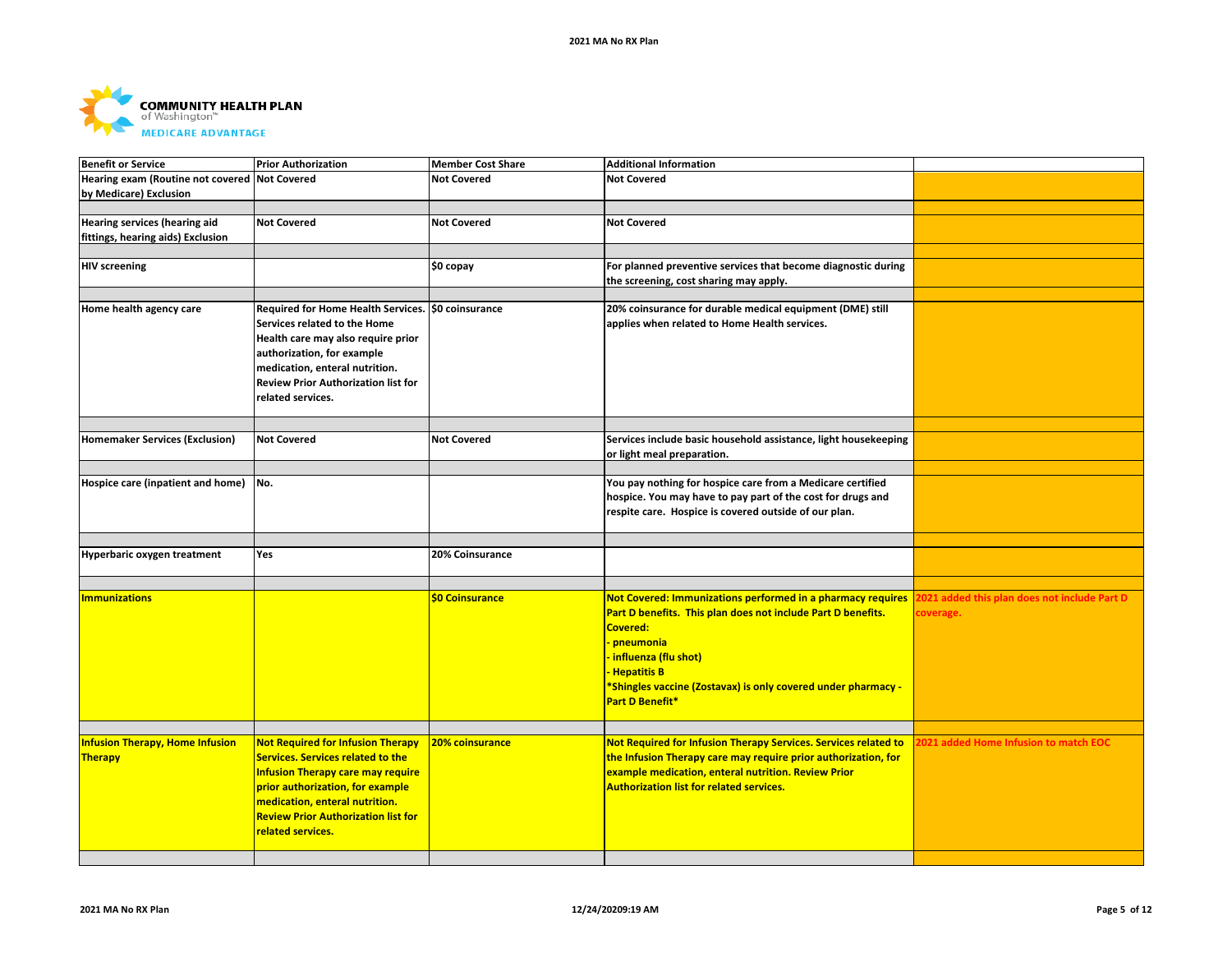

| <b>Benefit or Service</b>              | <b>Prior Authorization</b>                 | <b>Member Cost Share</b> | <b>Additional Information</b>                                   |                                              |
|----------------------------------------|--------------------------------------------|--------------------------|-----------------------------------------------------------------|----------------------------------------------|
| Hearing exam (Routine not covered      | <b>Not Covered</b>                         | <b>Not Covered</b>       | <b>Not Covered</b>                                              |                                              |
| by Medicare) Exclusion                 |                                            |                          |                                                                 |                                              |
|                                        |                                            |                          |                                                                 |                                              |
| Hearing services (hearing aid          | <b>Not Covered</b>                         | <b>Not Covered</b>       | <b>Not Covered</b>                                              |                                              |
| fittings, hearing aids) Exclusion      |                                            |                          |                                                                 |                                              |
|                                        |                                            |                          |                                                                 |                                              |
| <b>HIV screening</b>                   |                                            | \$0 copay                | For planned preventive services that become diagnostic during   |                                              |
|                                        |                                            |                          | the screening, cost sharing may apply.                          |                                              |
|                                        |                                            |                          |                                                                 |                                              |
| Home health agency care                | Required for Home Health Services.         | \$0 coinsurance          | 20% coinsurance for durable medical equipment (DME) still       |                                              |
|                                        | Services related to the Home               |                          | applies when related to Home Health services.                   |                                              |
|                                        | Health care may also require prior         |                          |                                                                 |                                              |
|                                        | authorization, for example                 |                          |                                                                 |                                              |
|                                        | medication, enteral nutrition.             |                          |                                                                 |                                              |
|                                        | <b>Review Prior Authorization list for</b> |                          |                                                                 |                                              |
|                                        | related services.                          |                          |                                                                 |                                              |
|                                        |                                            |                          |                                                                 |                                              |
|                                        |                                            |                          |                                                                 |                                              |
| <b>Homemaker Services (Exclusion)</b>  | <b>Not Covered</b>                         | <b>Not Covered</b>       | Services include basic household assistance, light housekeeping |                                              |
|                                        |                                            |                          | or light meal preparation.                                      |                                              |
|                                        |                                            |                          |                                                                 |                                              |
| Hospice care (inpatient and home)      | INo.                                       |                          | You pay nothing for hospice care from a Medicare certified      |                                              |
|                                        |                                            |                          | hospice. You may have to pay part of the cost for drugs and     |                                              |
|                                        |                                            |                          | respite care. Hospice is covered outside of our plan.           |                                              |
|                                        |                                            |                          |                                                                 |                                              |
| Hyperbaric oxygen treatment            | Yes                                        | 20% Coinsurance          |                                                                 |                                              |
|                                        |                                            |                          |                                                                 |                                              |
|                                        |                                            |                          |                                                                 |                                              |
| <b>Immunizations</b>                   |                                            | \$0 Coinsurance          | Not Covered: Immunizations performed in a pharmacy requires     | 2021 added this plan does not include Part D |
|                                        |                                            |                          | Part D benefits. This plan does not include Part D benefits.    | coverage.                                    |
|                                        |                                            |                          | Covered:                                                        |                                              |
|                                        |                                            |                          | <b>pneumonia</b>                                                |                                              |
|                                        |                                            |                          | <b>influenza (flu shot)</b>                                     |                                              |
|                                        |                                            |                          | <b>Hepatitis B</b>                                              |                                              |
|                                        |                                            |                          | *Shingles vaccine (Zostavax) is only covered under pharmacy -   |                                              |
|                                        |                                            |                          | Part D Benefit*                                                 |                                              |
|                                        |                                            |                          |                                                                 |                                              |
|                                        |                                            |                          |                                                                 |                                              |
| <b>Infusion Therapy, Home Infusion</b> | <b>Not Required for Infusion Therapy</b>   | 20% coinsurance          | Not Required for Infusion Therapy Services. Services related to | 2021 added Home Infusion to match EOC        |
| Therapy                                | <b>Services. Services related to the</b>   |                          | the Infusion Therapy care may require prior authorization, for  |                                              |
|                                        | <b>Infusion Therapy care may require</b>   |                          | example medication, enteral nutrition. Review Prior             |                                              |
|                                        | prior authorization, for example           |                          | <b>Authorization list for related services.</b>                 |                                              |
|                                        | medication, enteral nutrition.             |                          |                                                                 |                                              |
|                                        | <b>Review Prior Authorization list for</b> |                          |                                                                 |                                              |
|                                        | related services.                          |                          |                                                                 |                                              |
|                                        |                                            |                          |                                                                 |                                              |
|                                        |                                            |                          |                                                                 |                                              |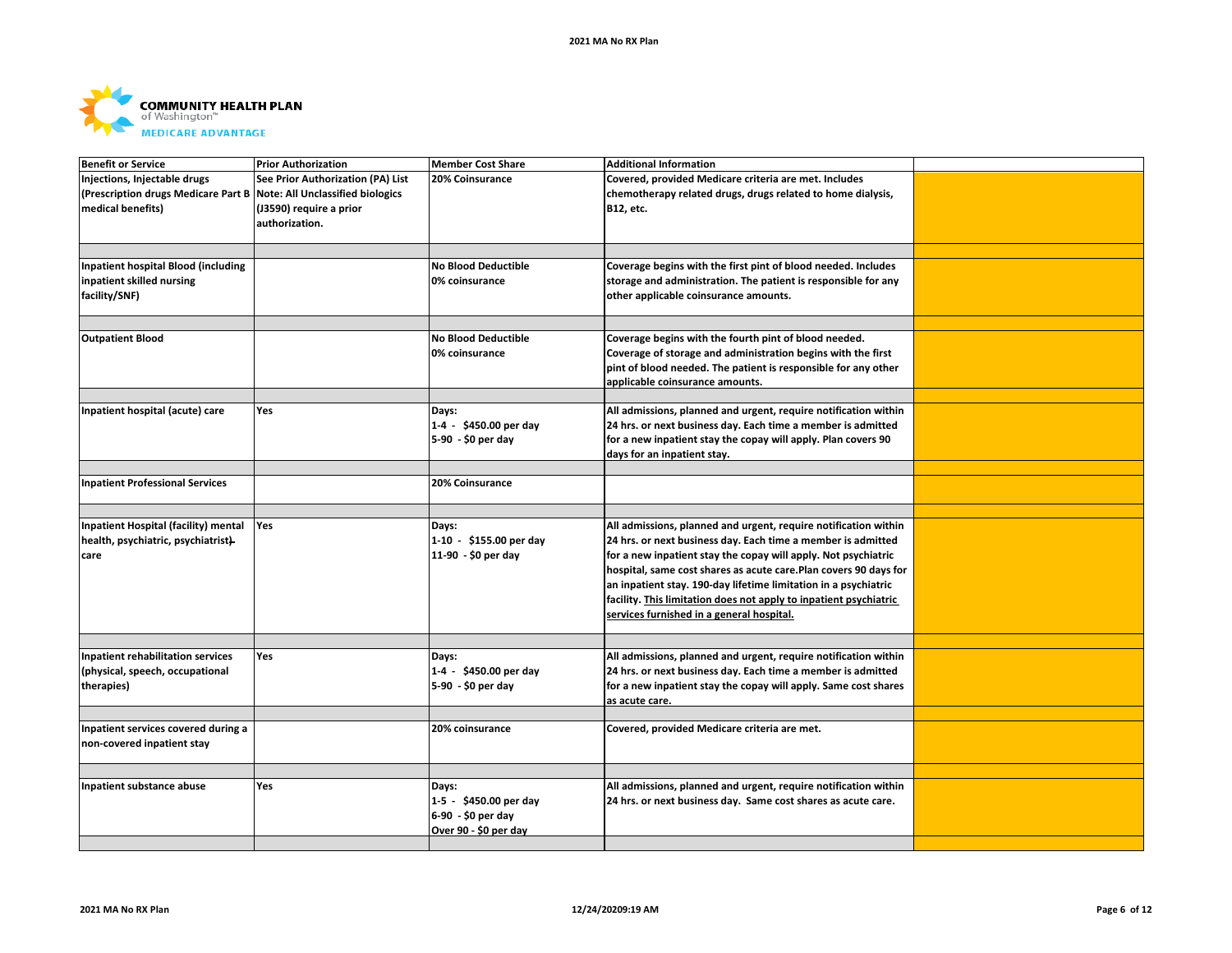

| <b>Benefit or Service</b>                  | <b>Prior Authorization</b>              | <b>Member Cost Share</b>   | <b>Additional Information</b>                                     |  |
|--------------------------------------------|-----------------------------------------|----------------------------|-------------------------------------------------------------------|--|
| Injections, Injectable drugs               | See Prior Authorization (PA) List       | 20% Coinsurance            | Covered, provided Medicare criteria are met. Includes             |  |
| (Prescription drugs Medicare Part B        | <b>Note: All Unclassified biologics</b> |                            | chemotherapy related drugs, drugs related to home dialysis,       |  |
| medical benefits)                          | (J3590) require a prior                 |                            | B12, etc.                                                         |  |
|                                            | authorization.                          |                            |                                                                   |  |
|                                            |                                         |                            |                                                                   |  |
|                                            |                                         |                            |                                                                   |  |
| <b>Inpatient hospital Blood (including</b> |                                         | No Blood Deductible        | Coverage begins with the first pint of blood needed. Includes     |  |
| inpatient skilled nursing                  |                                         | 0% coinsurance             | storage and administration. The patient is responsible for any    |  |
|                                            |                                         |                            |                                                                   |  |
| facility/SNF)                              |                                         |                            | other applicable coinsurance amounts.                             |  |
|                                            |                                         |                            |                                                                   |  |
|                                            |                                         |                            |                                                                   |  |
| <b>Outpatient Blood</b>                    |                                         | <b>No Blood Deductible</b> | Coverage begins with the fourth pint of blood needed.             |  |
|                                            |                                         | 0% coinsurance             | Coverage of storage and administration begins with the first      |  |
|                                            |                                         |                            | pint of blood needed. The patient is responsible for any other    |  |
|                                            |                                         |                            | applicable coinsurance amounts.                                   |  |
|                                            |                                         |                            |                                                                   |  |
| Inpatient hospital (acute) care            | Yes                                     | Days:                      | All admissions, planned and urgent, require notification within   |  |
|                                            |                                         | 1-4 - \$450.00 per day     | 24 hrs. or next business day. Each time a member is admitted      |  |
|                                            |                                         | 5-90 - \$0 per day         | for a new inpatient stay the copay will apply. Plan covers 90     |  |
|                                            |                                         |                            | days for an inpatient stay.                                       |  |
|                                            |                                         |                            |                                                                   |  |
| <b>Inpatient Professional Services</b>     |                                         | 20% Coinsurance            |                                                                   |  |
|                                            |                                         |                            |                                                                   |  |
|                                            |                                         |                            |                                                                   |  |
| Inpatient Hospital (facility) mental       | Yes                                     | Days:                      | All admissions, planned and urgent, require notification within   |  |
| health, psychiatric, psychiatrist)         |                                         | 1-10 - \$155.00 per day    | 24 hrs. or next business day. Each time a member is admitted      |  |
| care                                       |                                         | 11-90 - \$0 per day        | for a new inpatient stay the copay will apply. Not psychiatric    |  |
|                                            |                                         |                            | hospital, same cost shares as acute care. Plan covers 90 days for |  |
|                                            |                                         |                            | an inpatient stay. 190-day lifetime limitation in a psychiatric   |  |
|                                            |                                         |                            | facility. This limitation does not apply to inpatient psychiatric |  |
|                                            |                                         |                            |                                                                   |  |
|                                            |                                         |                            | services furnished in a general hospital.                         |  |
|                                            |                                         |                            |                                                                   |  |
| <b>Inpatient rehabilitation services</b>   | Yes                                     | Days:                      | All admissions, planned and urgent, require notification within   |  |
| (physical, speech, occupational            |                                         | 1-4 - \$450.00 per day     | 24 hrs. or next business day. Each time a member is admitted      |  |
| therapies)                                 |                                         | 5-90 - \$0 per day         | for a new inpatient stay the copay will apply. Same cost shares   |  |
|                                            |                                         |                            |                                                                   |  |
|                                            |                                         |                            | as acute care.                                                    |  |
| Inpatient services covered during a        |                                         | 20% coinsurance            | Covered, provided Medicare criteria are met.                      |  |
| non-covered inpatient stay                 |                                         |                            |                                                                   |  |
|                                            |                                         |                            |                                                                   |  |
|                                            |                                         |                            |                                                                   |  |
| Inpatient substance abuse                  | <b>Yes</b>                              | Days:                      | All admissions, planned and urgent, require notification within   |  |
|                                            |                                         | 1-5 - \$450.00 per day     |                                                                   |  |
|                                            |                                         |                            | 24 hrs. or next business day. Same cost shares as acute care.     |  |
|                                            |                                         | 6-90 - \$0 per day         |                                                                   |  |
|                                            |                                         | Over 90 - \$0 per day      |                                                                   |  |
|                                            |                                         |                            |                                                                   |  |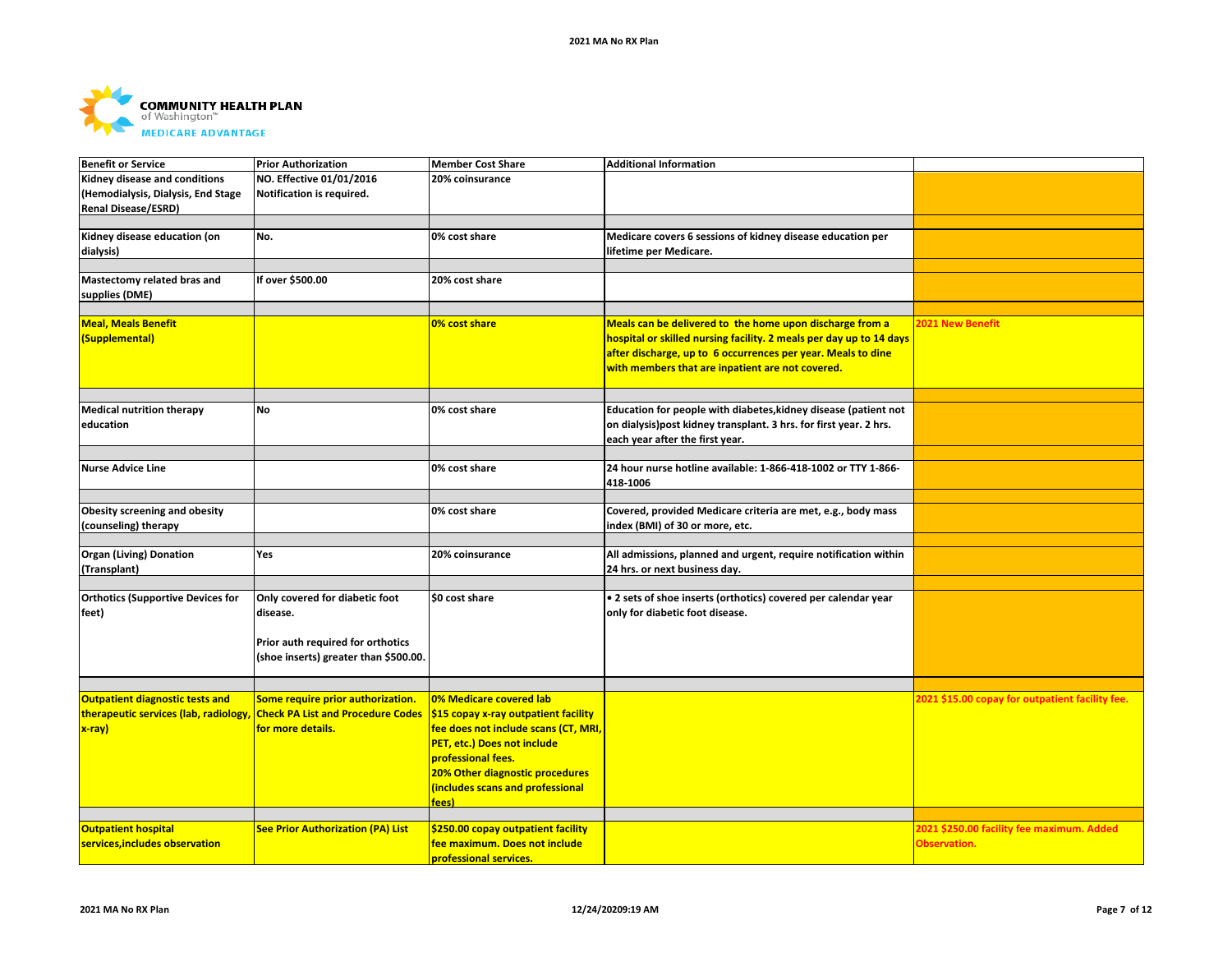

| <b>Benefit or Service</b>                | <b>Prior Authorization</b>               | <b>Member Cost Share</b>             | <b>Additional Information</b>                                       |                                                 |
|------------------------------------------|------------------------------------------|--------------------------------------|---------------------------------------------------------------------|-------------------------------------------------|
| Kidney disease and conditions            | NO. Effective 01/01/2016                 | 20% coinsurance                      |                                                                     |                                                 |
| (Hemodialysis, Dialysis, End Stage       | Notification is required.                |                                      |                                                                     |                                                 |
| <b>Renal Disease/ESRD)</b>               |                                          |                                      |                                                                     |                                                 |
|                                          |                                          |                                      |                                                                     |                                                 |
| Kidney disease education (on             | No.                                      | 0% cost share                        | Medicare covers 6 sessions of kidney disease education per          |                                                 |
| dialysis)                                |                                          |                                      | lifetime per Medicare.                                              |                                                 |
|                                          |                                          |                                      |                                                                     |                                                 |
| Mastectomy related bras and              | If over \$500.00                         | 20% cost share                       |                                                                     |                                                 |
| supplies (DME)                           |                                          |                                      |                                                                     |                                                 |
|                                          |                                          |                                      |                                                                     |                                                 |
| <b>Meal, Meals Benefit</b>               |                                          | 0% cost share                        | Meals can be delivered to the home upon discharge from a            | <b>2021 New Benefit</b>                         |
| (Supplemental)                           |                                          |                                      | hospital or skilled nursing facility. 2 meals per day up to 14 days |                                                 |
|                                          |                                          |                                      | after discharge, up to 6 occurrences per year. Meals to dine        |                                                 |
|                                          |                                          |                                      | with members that are inpatient are not covered.                    |                                                 |
|                                          |                                          |                                      |                                                                     |                                                 |
|                                          |                                          |                                      |                                                                     |                                                 |
| <b>Medical nutrition therapy</b>         | <b>No</b>                                | 0% cost share                        | Education for people with diabetes, kidney disease (patient not     |                                                 |
| education                                |                                          |                                      | on dialysis) post kidney transplant. 3 hrs. for first year. 2 hrs.  |                                                 |
|                                          |                                          |                                      | each year after the first year.                                     |                                                 |
|                                          |                                          |                                      |                                                                     |                                                 |
| <b>Nurse Advice Line</b>                 |                                          | 0% cost share                        | 24 hour nurse hotline available: 1-866-418-1002 or TTY 1-866-       |                                                 |
|                                          |                                          |                                      | 418-1006                                                            |                                                 |
|                                          |                                          |                                      |                                                                     |                                                 |
| Obesity screening and obesity            |                                          | 0% cost share                        | Covered, provided Medicare criteria are met, e.g., body mass        |                                                 |
| (counseling) therapy                     |                                          |                                      | index (BMI) of 30 or more, etc.                                     |                                                 |
|                                          |                                          |                                      |                                                                     |                                                 |
| <b>Organ (Living) Donation</b>           | Yes                                      | 20% coinsurance                      | All admissions, planned and urgent, require notification within     |                                                 |
| (Transplant)                             |                                          |                                      | 24 hrs. or next business day.                                       |                                                 |
|                                          |                                          |                                      |                                                                     |                                                 |
| <b>Orthotics (Supportive Devices for</b> | Only covered for diabetic foot           | \$0 cost share                       | • 2 sets of shoe inserts (orthotics) covered per calendar year      |                                                 |
| feet)                                    | disease.                                 |                                      | only for diabetic foot disease.                                     |                                                 |
|                                          |                                          |                                      |                                                                     |                                                 |
|                                          | Prior auth required for orthotics        |                                      |                                                                     |                                                 |
|                                          | (shoe inserts) greater than \$500.00.    |                                      |                                                                     |                                                 |
|                                          |                                          |                                      |                                                                     |                                                 |
|                                          |                                          |                                      |                                                                     |                                                 |
| Outpatient diagnostic tests and          | Some require prior authorization.        | 0% Medicare covered lab              |                                                                     | 2021 \$15.00 copay for outpatient facility fee. |
| therapeutic services (lab, radiology,    | <b>Check PA List and Procedure Codes</b> | \$15 copay x-ray outpatient facility |                                                                     |                                                 |
| $x$ -ray)                                | for more details.                        | fee does not include scans (CT, MRI, |                                                                     |                                                 |
|                                          |                                          | PET, etc.) Does not include          |                                                                     |                                                 |
|                                          |                                          | professional fees.                   |                                                                     |                                                 |
|                                          |                                          | 20% Other diagnostic procedures      |                                                                     |                                                 |
|                                          |                                          | (includes scans and professional     |                                                                     |                                                 |
|                                          |                                          | fees)                                |                                                                     |                                                 |
|                                          |                                          |                                      |                                                                     |                                                 |
| <b>Outpatient hospital</b>               | <b>See Prior Authorization (PA) List</b> | \$250.00 copay outpatient facility   |                                                                     | 2021 \$250.00 facility fee maximum. Added       |
| services, includes observation           |                                          | fee maximum. Does not include        |                                                                     | Observation.                                    |
|                                          |                                          | professional services.               |                                                                     |                                                 |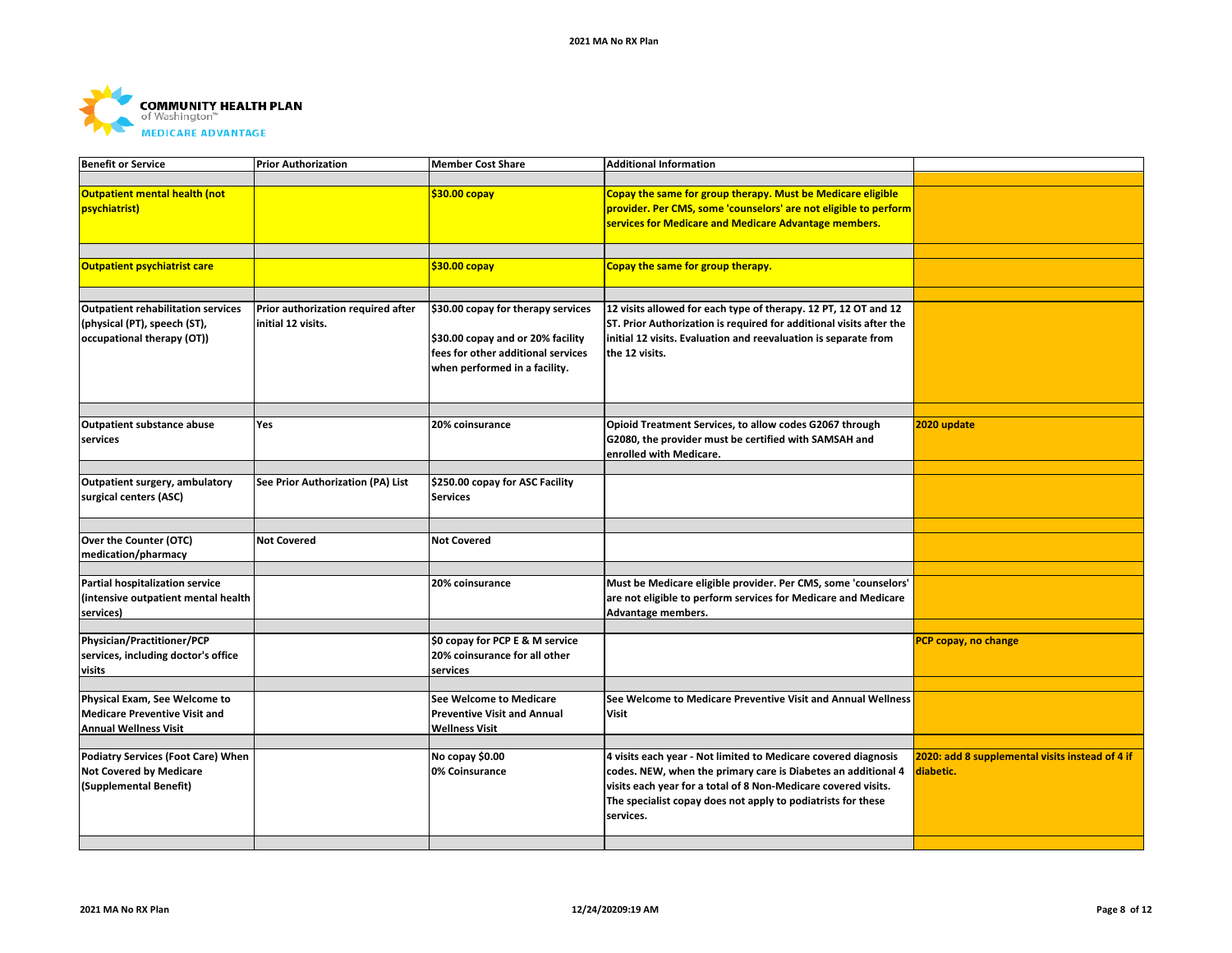

| <b>Benefit or Service</b>                                                                               | <b>Prior Authorization</b>                               | <b>Member Cost Share</b>                                                                                                                       | <b>Additional Information</b>                                                                                                                                                                                                                                                  |                                                              |
|---------------------------------------------------------------------------------------------------------|----------------------------------------------------------|------------------------------------------------------------------------------------------------------------------------------------------------|--------------------------------------------------------------------------------------------------------------------------------------------------------------------------------------------------------------------------------------------------------------------------------|--------------------------------------------------------------|
| Outpatient mental health (not<br>psychiatrist)                                                          |                                                          | $$30.00$ copay                                                                                                                                 | Copay the same for group therapy. Must be Medicare eligible<br>provider. Per CMS, some 'counselors' are not eligible to perform<br>services for Medicare and Medicare Advantage members.                                                                                       |                                                              |
| Outpatient psychiatrist care                                                                            |                                                          | $$30.00$ copay                                                                                                                                 | Copay the same for group therapy.                                                                                                                                                                                                                                              |                                                              |
| <b>Outpatient rehabilitation services</b><br>(physical (PT), speech (ST),<br>occupational therapy (OT)) | Prior authorization required after<br>initial 12 visits. | \$30.00 copay for therapy services<br>\$30.00 copay and or 20% facility<br>fees for other additional services<br>when performed in a facility. | 12 visits allowed for each type of therapy. 12 PT, 12 OT and 12<br>ST. Prior Authorization is required for additional visits after the<br>initial 12 visits. Evaluation and reevaluation is separate from<br>the 12 visits.                                                    |                                                              |
| <b>Outpatient substance abuse</b><br>services                                                           | Yes                                                      | 20% coinsurance                                                                                                                                | Opioid Treatment Services, to allow codes G2067 through<br>G2080, the provider must be certified with SAMSAH and<br>enrolled with Medicare.                                                                                                                                    | 2020 update                                                  |
| Outpatient surgery, ambulatory<br>surgical centers (ASC)                                                | See Prior Authorization (PA) List                        | \$250.00 copay for ASC Facility<br><b>Services</b>                                                                                             |                                                                                                                                                                                                                                                                                |                                                              |
| Over the Counter (OTC)<br>medication/pharmacy                                                           | <b>Not Covered</b>                                       | <b>Not Covered</b>                                                                                                                             |                                                                                                                                                                                                                                                                                |                                                              |
| Partial hospitalization service<br>intensive outpatient mental health<br>services)                      |                                                          | 20% coinsurance                                                                                                                                | Must be Medicare eligible provider. Per CMS, some 'counselors'<br>are not eligible to perform services for Medicare and Medicare<br>Advantage members.                                                                                                                         |                                                              |
| Physician/Practitioner/PCP<br>services, including doctor's office<br>visits                             |                                                          | \$0 copay for PCP E & M service<br>20% coinsurance for all other<br>services                                                                   |                                                                                                                                                                                                                                                                                | PCP copay, no change                                         |
| Physical Exam, See Welcome to<br><b>Medicare Preventive Visit and</b><br><b>Annual Wellness Visit</b>   |                                                          | <b>See Welcome to Medicare</b><br><b>Preventive Visit and Annual</b><br><b>Wellness Visit</b>                                                  | See Welcome to Medicare Preventive Visit and Annual Wellness<br><b>Visit</b>                                                                                                                                                                                                   |                                                              |
| <b>Podiatry Services (Foot Care) When</b><br><b>Not Covered by Medicare</b><br>(Supplemental Benefit)   |                                                          | No copay \$0.00<br>0% Coinsurance                                                                                                              | 4 visits each year - Not limited to Medicare covered diagnosis<br>codes. NEW, when the primary care is Diabetes an additional 4<br>visits each year for a total of 8 Non-Medicare covered visits.<br>The specialist copay does not apply to podiatrists for these<br>services. | 2020: add 8 supplemental visits instead of 4 if<br>diabetic. |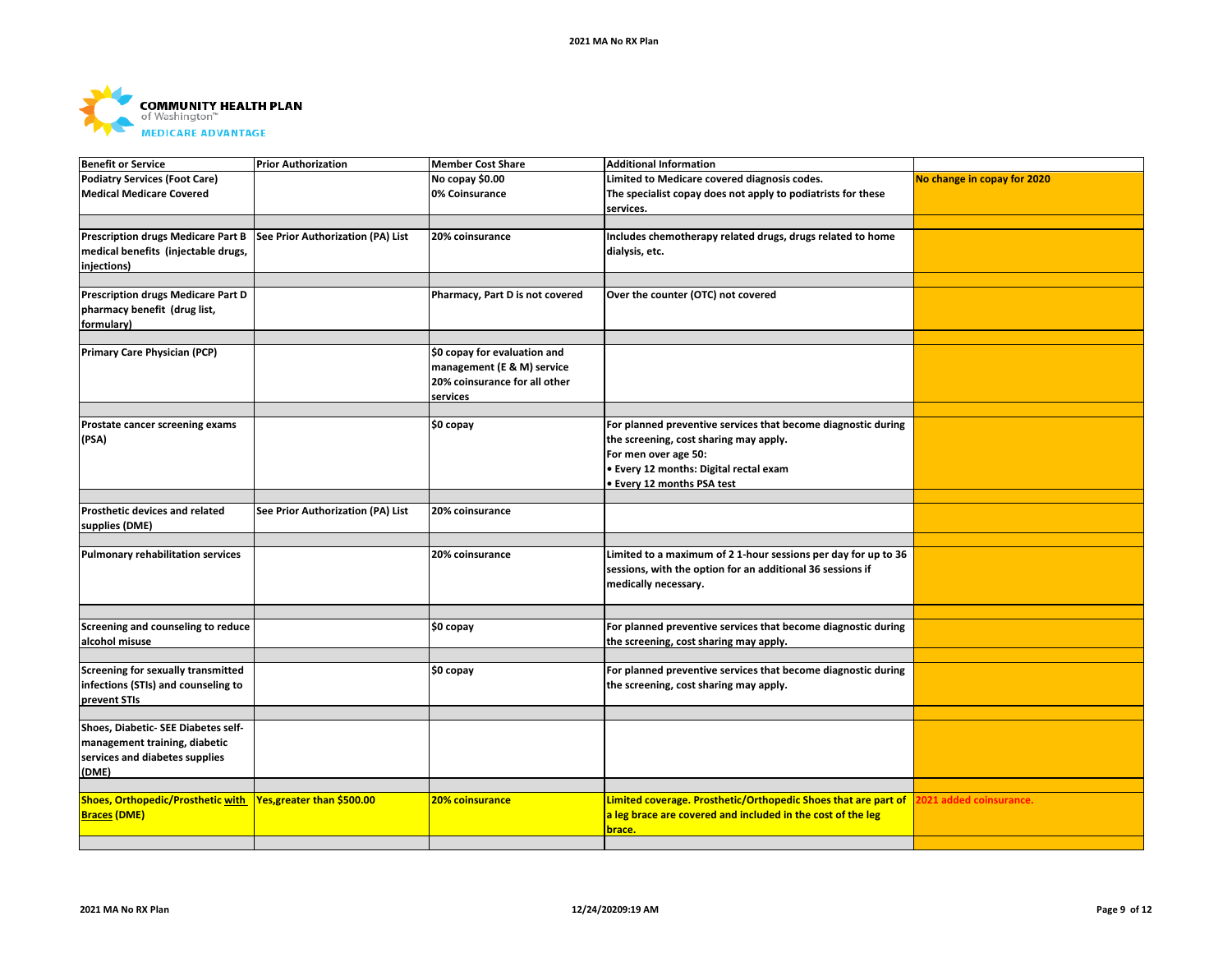

| <b>Benefit or Service</b>                 | <b>Prior Authorization</b>        | <b>Member Cost Share</b>        | <b>Additional Information</b>                                  |                             |
|-------------------------------------------|-----------------------------------|---------------------------------|----------------------------------------------------------------|-----------------------------|
| <b>Podiatry Services (Foot Care)</b>      |                                   | No copay \$0.00                 | Limited to Medicare covered diagnosis codes.                   | No change in copay for 2020 |
| <b>Medical Medicare Covered</b>           |                                   | 0% Coinsurance                  | The specialist copay does not apply to podiatrists for these   |                             |
|                                           |                                   |                                 | services.                                                      |                             |
|                                           |                                   |                                 |                                                                |                             |
| <b>Prescription drugs Medicare Part B</b> | See Prior Authorization (PA) List | 20% coinsurance                 | Includes chemotherapy related drugs, drugs related to home     |                             |
| medical benefits (injectable drugs,       |                                   |                                 | dialysis, etc.                                                 |                             |
| injections)                               |                                   |                                 |                                                                |                             |
|                                           |                                   |                                 |                                                                |                             |
| Prescription drugs Medicare Part D        |                                   | Pharmacy, Part D is not covered | Over the counter (OTC) not covered                             |                             |
| pharmacy benefit (drug list,              |                                   |                                 |                                                                |                             |
| formulary)                                |                                   |                                 |                                                                |                             |
|                                           |                                   |                                 |                                                                |                             |
| <b>Primary Care Physician (PCP)</b>       |                                   | \$0 copay for evaluation and    |                                                                |                             |
|                                           |                                   | management (E & M) service      |                                                                |                             |
|                                           |                                   | 20% coinsurance for all other   |                                                                |                             |
|                                           |                                   | services                        |                                                                |                             |
|                                           |                                   |                                 |                                                                |                             |
| Prostate cancer screening exams           |                                   | \$0 copay                       | For planned preventive services that become diagnostic during  |                             |
| (PSA)                                     |                                   |                                 | the screening, cost sharing may apply.                         |                             |
|                                           |                                   |                                 |                                                                |                             |
|                                           |                                   |                                 | For men over age 50:                                           |                             |
|                                           |                                   |                                 | • Every 12 months: Digital rectal exam                         |                             |
|                                           |                                   |                                 | • Every 12 months PSA test                                     |                             |
|                                           |                                   |                                 |                                                                |                             |
| Prosthetic devices and related            | See Prior Authorization (PA) List | 20% coinsurance                 |                                                                |                             |
| supplies (DME)                            |                                   |                                 |                                                                |                             |
|                                           |                                   |                                 |                                                                |                             |
| <b>Pulmonary rehabilitation services</b>  |                                   | 20% coinsurance                 | Limited to a maximum of 2 1-hour sessions per day for up to 36 |                             |
|                                           |                                   |                                 | sessions, with the option for an additional 36 sessions if     |                             |
|                                           |                                   |                                 | medically necessary.                                           |                             |
|                                           |                                   |                                 |                                                                |                             |
|                                           |                                   |                                 |                                                                |                             |
| Screening and counseling to reduce        |                                   | \$0 copay                       | For planned preventive services that become diagnostic during  |                             |
| alcohol misuse                            |                                   |                                 | the screening, cost sharing may apply.                         |                             |
|                                           |                                   |                                 |                                                                |                             |
| Screening for sexually transmitted        |                                   | \$0 copay                       | For planned preventive services that become diagnostic during  |                             |
| infections (STIs) and counseling to       |                                   |                                 | the screening, cost sharing may apply.                         |                             |
| prevent STIs                              |                                   |                                 |                                                                |                             |
|                                           |                                   |                                 |                                                                |                             |
| Shoes, Diabetic- SEE Diabetes self-       |                                   |                                 |                                                                |                             |
| management training, diabetic             |                                   |                                 |                                                                |                             |
| services and diabetes supplies            |                                   |                                 |                                                                |                             |
| (DME)                                     |                                   |                                 |                                                                |                             |
|                                           |                                   |                                 |                                                                |                             |
| Shoes, Orthopedic/Prosthetic with         | Yes,greater than \$500.00         | <b>20% coinsurance</b>          | Limited coverage. Prosthetic/Orthopedic Shoes that are part of | 2021 added coinsurance.     |
| <b>Braces (DME)</b>                       |                                   |                                 | a leg brace are covered and included in the cost of the leg    |                             |
|                                           |                                   |                                 | brace.                                                         |                             |
|                                           |                                   |                                 |                                                                |                             |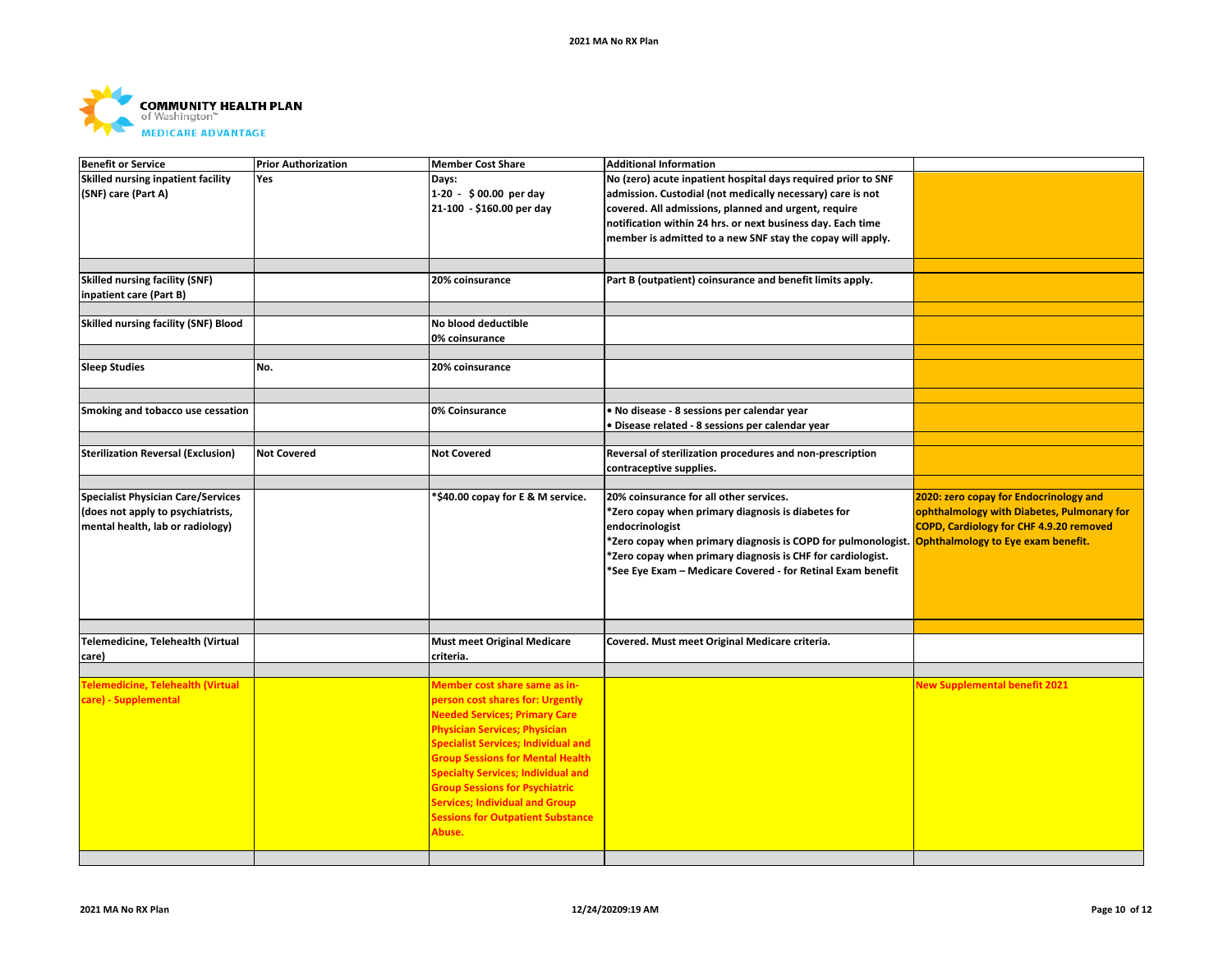

| <b>Benefit or Service</b>                   | <b>Prior Authorization</b> | <b>Member Cost Share</b>                   | <b>Additional Information</b>                                                                                 |                                                |
|---------------------------------------------|----------------------------|--------------------------------------------|---------------------------------------------------------------------------------------------------------------|------------------------------------------------|
| Skilled nursing inpatient facility          | <b>Yes</b>                 | Days:                                      | No (zero) acute inpatient hospital days required prior to SNF                                                 |                                                |
| (SNF) care (Part A)                         |                            | 1-20 - \$00.00 per day                     | admission. Custodial (not medically necessary) care is not                                                    |                                                |
|                                             |                            | 21-100 - \$160.00 per day                  | covered. All admissions, planned and urgent, require                                                          |                                                |
|                                             |                            |                                            | notification within 24 hrs. or next business day. Each time                                                   |                                                |
|                                             |                            |                                            | member is admitted to a new SNF stay the copay will apply.                                                    |                                                |
|                                             |                            |                                            |                                                                                                               |                                                |
|                                             |                            |                                            |                                                                                                               |                                                |
| <b>Skilled nursing facility (SNF)</b>       |                            | 20% coinsurance                            | Part B (outpatient) coinsurance and benefit limits apply.                                                     |                                                |
| inpatient care (Part B)                     |                            |                                            |                                                                                                               |                                                |
|                                             |                            |                                            |                                                                                                               |                                                |
| <b>Skilled nursing facility (SNF) Blood</b> |                            | No blood deductible                        |                                                                                                               |                                                |
|                                             |                            | 0% coinsurance                             |                                                                                                               |                                                |
|                                             |                            |                                            |                                                                                                               |                                                |
| <b>Sleep Studies</b>                        | No.                        | 20% coinsurance                            |                                                                                                               |                                                |
|                                             |                            |                                            |                                                                                                               |                                                |
|                                             |                            |                                            |                                                                                                               |                                                |
| Smoking and tobacco use cessation           |                            | 0% Coinsurance                             | · No disease - 8 sessions per calendar year                                                                   |                                                |
|                                             |                            |                                            | · Disease related - 8 sessions per calendar year                                                              |                                                |
|                                             |                            |                                            |                                                                                                               |                                                |
| <b>Sterilization Reversal (Exclusion)</b>   | <b>Not Covered</b>         | <b>Not Covered</b>                         | Reversal of sterilization procedures and non-prescription                                                     |                                                |
|                                             |                            |                                            | contraceptive supplies.                                                                                       |                                                |
|                                             |                            |                                            |                                                                                                               |                                                |
| <b>Specialist Physician Care/Services</b>   |                            | *\$40.00 copay for E & M service.          | 20% coinsurance for all other services.                                                                       | 2020: zero copay for Endocrinology and         |
| (does not apply to psychiatrists,           |                            |                                            | *Zero copay when primary diagnosis is diabetes for                                                            | ophthalmology with Diabetes, Pulmonary for     |
| mental health, lab or radiology)            |                            |                                            | endocrinologist                                                                                               | <b>COPD, Cardiology for CHF 4.9.20 removed</b> |
|                                             |                            |                                            | *Zero copay when primary diagnosis is COPD for pulmonologist. <mark>Ophthalmology to Eye exam benefit.</mark> |                                                |
|                                             |                            |                                            | *Zero copay when primary diagnosis is CHF for cardiologist.                                                   |                                                |
|                                             |                            |                                            |                                                                                                               |                                                |
|                                             |                            |                                            | *See Eye Exam – Medicare Covered - for Retinal Exam benefit                                                   |                                                |
|                                             |                            |                                            |                                                                                                               |                                                |
|                                             |                            |                                            |                                                                                                               |                                                |
|                                             |                            |                                            |                                                                                                               |                                                |
| Telemedicine, Telehealth (Virtual           |                            | <b>Must meet Original Medicare</b>         | Covered. Must meet Original Medicare criteria.                                                                |                                                |
| care)                                       |                            | criteria.                                  |                                                                                                               |                                                |
|                                             |                            |                                            |                                                                                                               |                                                |
| Telemedicine, Telehealth (Virtual           |                            | Member cost share same as in-              |                                                                                                               | <b>New Supplemental benefit 2021</b>           |
| care) - Supplemental                        |                            | person cost shares for: Urgently           |                                                                                                               |                                                |
|                                             |                            | <b>Needed Services; Primary Care</b>       |                                                                                                               |                                                |
|                                             |                            | <b>Physician Services; Physician</b>       |                                                                                                               |                                                |
|                                             |                            | <b>Specialist Services; Individual and</b> |                                                                                                               |                                                |
|                                             |                            |                                            |                                                                                                               |                                                |
|                                             |                            | <b>Group Sessions for Mental Health</b>    |                                                                                                               |                                                |
|                                             |                            | <b>Specialty Services; Individual and</b>  |                                                                                                               |                                                |
|                                             |                            | <b>Group Sessions for Psychiatric</b>      |                                                                                                               |                                                |
|                                             |                            | <b>Services; Individual and Group</b>      |                                                                                                               |                                                |
|                                             |                            | <b>Sessions for Outpatient Substance</b>   |                                                                                                               |                                                |
|                                             |                            | Abuse.                                     |                                                                                                               |                                                |
|                                             |                            |                                            |                                                                                                               |                                                |
|                                             |                            |                                            |                                                                                                               |                                                |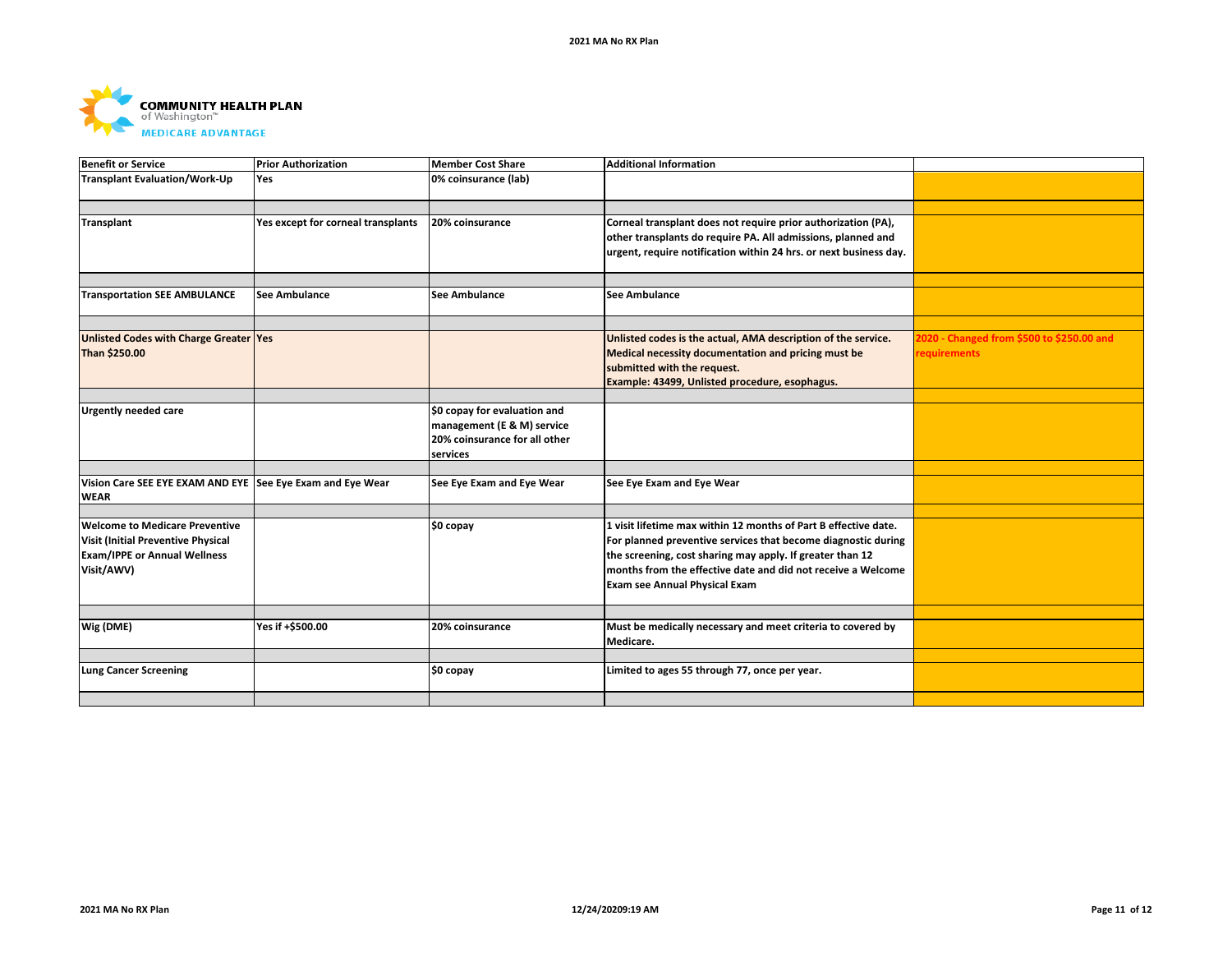

| <b>Benefit or Service</b>                                                                      | <b>Prior Authorization</b>         | <b>Member Cost Share</b>                                                                                | <b>Additional Information</b>                                                                                                                                                                                                      |                                                                  |
|------------------------------------------------------------------------------------------------|------------------------------------|---------------------------------------------------------------------------------------------------------|------------------------------------------------------------------------------------------------------------------------------------------------------------------------------------------------------------------------------------|------------------------------------------------------------------|
| <b>Transplant Evaluation/Work-Up</b>                                                           | Yes                                | 0% coinsurance (lab)                                                                                    |                                                                                                                                                                                                                                    |                                                                  |
| <b>Transplant</b>                                                                              | Yes except for corneal transplants | 20% coinsurance                                                                                         | Corneal transplant does not require prior authorization (PA),                                                                                                                                                                      |                                                                  |
|                                                                                                |                                    |                                                                                                         | other transplants do require PA. All admissions, planned and<br>urgent, require notification within 24 hrs. or next business day.                                                                                                  |                                                                  |
| <b>Transportation SEE AMBULANCE</b>                                                            | <b>See Ambulance</b>               | <b>See Ambulance</b>                                                                                    | <b>See Ambulance</b>                                                                                                                                                                                                               |                                                                  |
| Unlisted Codes with Charge Greater Yes<br>Than \$250.00                                        |                                    |                                                                                                         | Unlisted codes is the actual, AMA description of the service.<br>Medical necessity documentation and pricing must be<br>submitted with the request.<br>Example: 43499, Unlisted procedure, esophagus.                              | 2020 - Changed from \$500 to \$250.00 and<br><b>requirements</b> |
| <b>Urgently needed care</b>                                                                    |                                    | \$0 copay for evaluation and<br>management (E & M) service<br>20% coinsurance for all other<br>services |                                                                                                                                                                                                                                    |                                                                  |
| Vision Care SEE EYE EXAM AND EYE See Eye Exam and Eye Wear<br><b>WEAR</b>                      |                                    | See Eye Exam and Eye Wear                                                                               | See Eye Exam and Eye Wear                                                                                                                                                                                                          |                                                                  |
| <b>Welcome to Medicare Preventive</b>                                                          |                                    |                                                                                                         | 1 visit lifetime max within 12 months of Part B effective date.                                                                                                                                                                    |                                                                  |
| <b>Visit (Initial Preventive Physical</b><br><b>Exam/IPPE or Annual Wellness</b><br>Visit/AWV) |                                    | \$0 copay                                                                                               | For planned preventive services that become diagnostic during<br>the screening, cost sharing may apply. If greater than 12<br>months from the effective date and did not receive a Welcome<br><b>Exam see Annual Physical Exam</b> |                                                                  |
|                                                                                                |                                    |                                                                                                         |                                                                                                                                                                                                                                    |                                                                  |
| Wig (DME)                                                                                      | Yes if +\$500.00                   | 20% coinsurance                                                                                         | Must be medically necessary and meet criteria to covered by<br>Medicare.                                                                                                                                                           |                                                                  |
| <b>Lung Cancer Screening</b>                                                                   |                                    |                                                                                                         | Limited to ages 55 through 77, once per year.                                                                                                                                                                                      |                                                                  |
|                                                                                                |                                    | \$0 copay                                                                                               |                                                                                                                                                                                                                                    |                                                                  |
|                                                                                                |                                    |                                                                                                         |                                                                                                                                                                                                                                    |                                                                  |